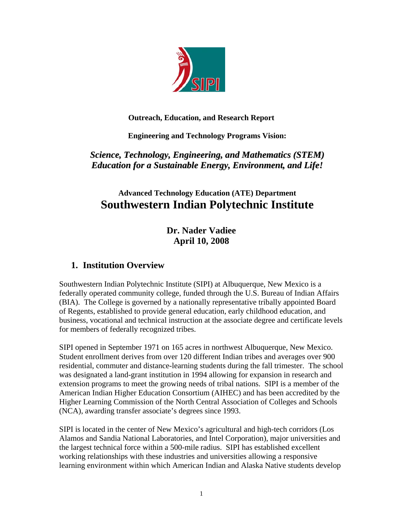

**Outreach, Education, and Research Report** 

**Engineering and Technology Programs Vision:** 

*Science, Technology, Engineering, and Mathematics (STEM) Education for a Sustainable Energy, Environment, and Life!*

# **Advanced Technology Education (ATE) Department Southwestern Indian Polytechnic Institute**

**Dr. Nader Vadiee April 10, 2008** 

## **1. Institution Overview**

Southwestern Indian Polytechnic Institute (SIPI) at Albuquerque, New Mexico is a federally operated community college, funded through the U.S. Bureau of Indian Affairs (BIA). The College is governed by a nationally representative tribally appointed Board of Regents, established to provide general education, early childhood education, and business, vocational and technical instruction at the associate degree and certificate levels for members of federally recognized tribes.

SIPI opened in September 1971 on 165 acres in northwest Albuquerque, New Mexico. Student enrollment derives from over 120 different Indian tribes and averages over 900 residential, commuter and distance-learning students during the fall trimester. The school was designated a land-grant institution in 1994 allowing for expansion in research and extension programs to meet the growing needs of tribal nations. SIPI is a member of the American Indian Higher Education Consortium (AIHEC) and has been accredited by the Higher Learning Commission of the North Central Association of Colleges and Schools (NCA), awarding transfer associate's degrees since 1993.

SIPI is located in the center of New Mexico's agricultural and high-tech corridors (Los Alamos and Sandia National Laboratories, and Intel Corporation), major universities and the largest technical force within a 500-mile radius. SIPI has established excellent working relationships with these industries and universities allowing a responsive learning environment within which American Indian and Alaska Native students develop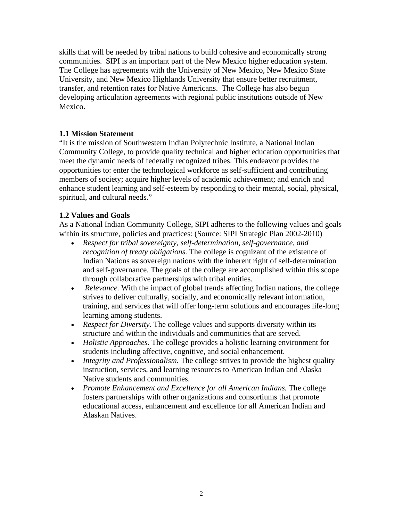skills that will be needed by tribal nations to build cohesive and economically strong communities. SIPI is an important part of the New Mexico higher education system. The College has agreements with the University of New Mexico, New Mexico State University, and New Mexico Highlands University that ensure better recruitment, transfer, and retention rates for Native Americans. The College has also begun developing articulation agreements with regional public institutions outside of New Mexico.

#### **1.1 Mission Statement**

"It is the mission of Southwestern Indian Polytechnic Institute, a National Indian Community College, to provide quality technical and higher education opportunities that meet the dynamic needs of federally recognized tribes. This endeavor provides the opportunities to: enter the technological workforce as self-sufficient and contributing members of society; acquire higher levels of academic achievement; and enrich and enhance student learning and self-esteem by responding to their mental, social, physical, spiritual, and cultural needs."

#### **1.2 Values and Goals**

As a National Indian Community College, SIPI adheres to the following values and goals within its structure, policies and practices: (Source: SIPI Strategic Plan 2002-2010)

- *Respect for tribal sovereignty, self-determination, self-governance, and recognition of treaty obligations.* The college is cognizant of the existence of Indian Nations as sovereign nations with the inherent right of self-determination and self-governance. The goals of the college are accomplished within this scope through collaborative partnerships with tribal entities.
- *Relevance*. With the impact of global trends affecting Indian nations, the college strives to deliver culturally, socially, and economically relevant information, training, and services that will offer long-term solutions and encourages life-long learning among students.
- *Respect for Diversity*. The college values and supports diversity within its structure and within the individuals and communities that are served.
- *Holistic Approaches.* The college provides a holistic learning environment for students including affective, cognitive, and social enhancement.
- *Integrity and Professionalism.* The college strives to provide the highest quality instruction, services, and learning resources to American Indian and Alaska Native students and communities.
- *Promote Enhancement and Excellence for all American Indians.* The college fosters partnerships with other organizations and consortiums that promote educational access, enhancement and excellence for all American Indian and Alaskan Natives.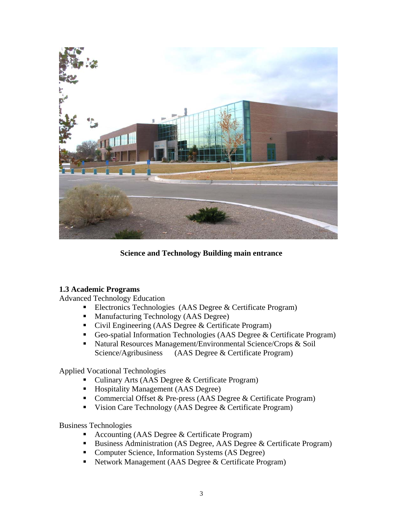

#### **Science and Technology Building main entrance**

#### **1.3 Academic Programs**

Advanced Technology Education

- Electronics Technologies (AAS Degree & Certificate Program)
- Manufacturing Technology (AAS Degree)
- Civil Engineering (AAS Degree & Certificate Program)
- Geo-spatial Information Technologies (AAS Degree & Certificate Program)
- Natural Resources Management/Environmental Science/Crops & Soil Science/Agribusiness (AAS Degree & Certificate Program)

Applied Vocational Technologies

- Culinary Arts (AAS Degree & Certificate Program)
- Hospitality Management (AAS Degree)
- Commercial Offset & Pre-press (AAS Degree & Certificate Program)
- Vision Care Technology (AAS Degree & Certificate Program)

Business Technologies

- Accounting (AAS Degree & Certificate Program)
- Business Administration (AS Degree, AAS Degree & Certificate Program)
- Computer Science, Information Systems (AS Degree)
- Network Management (AAS Degree & Certificate Program)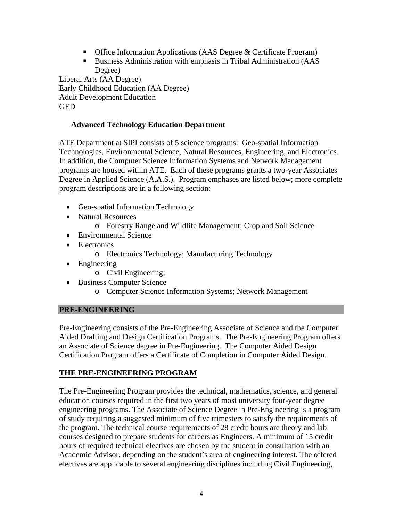- Office Information Applications (AAS Degree & Certificate Program)
- Business Administration with emphasis in Tribal Administration (AAS Degree)

Liberal Arts (AA Degree) Early Childhood Education (AA Degree) Adult Development Education GED

## **Advanced Technology Education Department**

ATE Department at SIPI consists of 5 science programs: Geo-spatial Information Technologies, Environmental Science, Natural Resources, Engineering, and Electronics. In addition, the Computer Science Information Systems and Network Management programs are housed within ATE. Each of these programs grants a two-year Associates Degree in Applied Science (A.A.S.). Program emphases are listed below; more complete program descriptions are in a following section:

- Geo-spatial Information Technology
- Natural Resources
	- o Forestry Range and Wildlife Management; Crop and Soil Science
- Environmental Science
- Electronics
	- o Electronics Technology; Manufacturing Technology
- Engineering
	- o Civil Engineering;
- Business Computer Science
	- o Computer Science Information Systems; Network Management

## **PRE-ENGINEERING**

Pre-Engineering consists of the Pre-Engineering Associate of Science and the Computer Aided Drafting and Design Certification Programs. The Pre-Engineering Program offers an Associate of Science degree in Pre-Engineering. The Computer Aided Design Certification Program offers a Certificate of Completion in Computer Aided Design.

## **THE PRE-ENGINEERING PROGRAM**

The Pre-Engineering Program provides the technical, mathematics, science, and general education courses required in the first two years of most university four-year degree engineering programs. The Associate of Science Degree in Pre-Engineering is a program of study requiring a suggested minimum of five trimesters to satisfy the requirements of the program. The technical course requirements of 28 credit hours are theory and lab courses designed to prepare students for careers as Engineers. A minimum of 15 credit hours of required technical electives are chosen by the student in consultation with an Academic Advisor, depending on the student's area of engineering interest. The offered electives are applicable to several engineering disciplines including Civil Engineering,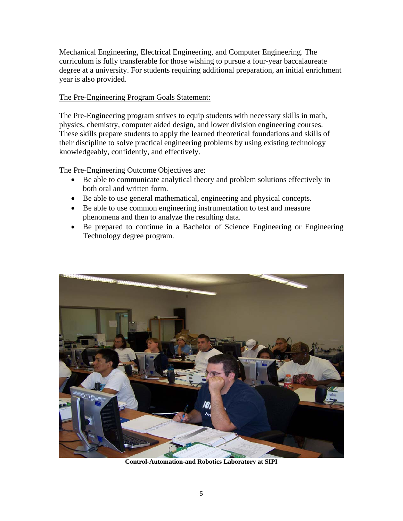Mechanical Engineering, Electrical Engineering, and Computer Engineering. The curriculum is fully transferable for those wishing to pursue a four-year baccalaureate degree at a university. For students requiring additional preparation, an initial enrichment year is also provided.

## The Pre-Engineering Program Goals Statement:

The Pre-Engineering program strives to equip students with necessary skills in math, physics, chemistry, computer aided design, and lower division engineering courses. These skills prepare students to apply the learned theoretical foundations and skills of their discipline to solve practical engineering problems by using existing technology knowledgeably, confidently, and effectively.

The Pre-Engineering Outcome Objectives are:

- Be able to communicate analytical theory and problem solutions effectively in both oral and written form.
- Be able to use general mathematical, engineering and physical concepts.
- Be able to use common engineering instrumentation to test and measure phenomena and then to analyze the resulting data.
- Be prepared to continue in a Bachelor of Science Engineering or Engineering Technology degree program.



**Control-Automation-and Robotics Laboratory at SIPI**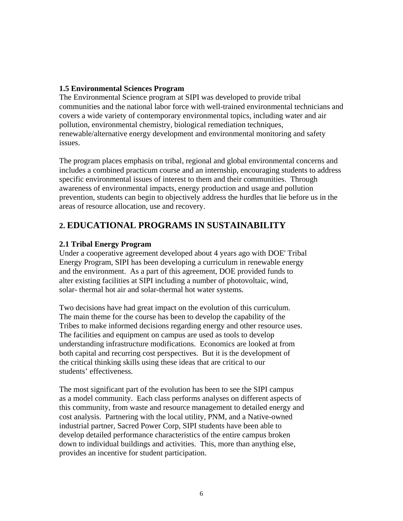#### **1.5 Environmental Sciences Program**

The Environmental Science program at SIPI was developed to provide tribal communities and the national labor force with well-trained environmental technicians and covers a wide variety of contemporary environmental topics, including water and air pollution, environmental chemistry, biological remediation techniques, renewable/alternative energy development and environmental monitoring and safety issues.

The program places emphasis on tribal, regional and global environmental concerns and includes a combined practicum course and an internship, encouraging students to address specific environmental issues of interest to them and their communities. Through awareness of environmental impacts, energy production and usage and pollution prevention, students can begin to objectively address the hurdles that lie before us in the areas of resource allocation, use and recovery.

## **2. EDUCATIONAL PROGRAMS IN SUSTAINABILITY**

## **2.1 Tribal Energy Program**

Under a cooperative agreement developed about 4 years ago with DOE' Tribal Energy Program, SIPI has been developing a curriculum in renewable energy and the environment. As a part of this agreement, DOE provided funds to alter existing facilities at SIPI including a number of photovoltaic, wind, solar- thermal hot air and solar-thermal hot water systems.

Two decisions have had great impact on the evolution of this curriculum. The main theme for the course has been to develop the capability of the Tribes to make informed decisions regarding energy and other resource uses. The facilities and equipment on campus are used as tools to develop understanding infrastructure modifications. Economics are looked at from both capital and recurring cost perspectives. But it is the development of the critical thinking skills using these ideas that are critical to our students' effectiveness.

The most significant part of the evolution has been to see the SIPI campus as a model community. Each class performs analyses on different aspects of this community, from waste and resource management to detailed energy and cost analysis. Partnering with the local utility, PNM, and a Native-owned industrial partner, Sacred Power Corp, SIPI students have been able to develop detailed performance characteristics of the entire campus broken down to individual buildings and activities. This, more than anything else, provides an incentive for student participation.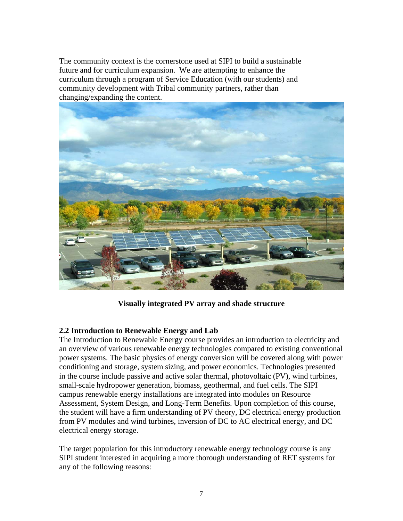The community context is the cornerstone used at SIPI to build a sustainable future and for curriculum expansion. We are attempting to enhance the curriculum through a program of Service Education (with our students) and community development with Tribal community partners, rather than changing/expanding the content.



**Visually integrated PV array and shade structure** 

#### **2.2 Introduction to Renewable Energy and Lab**

The Introduction to Renewable Energy course provides an introduction to electricity and an overview of various renewable energy technologies compared to existing conventional power systems. The basic physics of energy conversion will be covered along with power conditioning and storage, system sizing, and power economics. Technologies presented in the course include passive and active solar thermal, photovoltaic (PV), wind turbines, small-scale hydropower generation, biomass, geothermal, and fuel cells. The SIPI campus renewable energy installations are integrated into modules on Resource Assessment, System Design, and Long-Term Benefits. Upon completion of this course, the student will have a firm understanding of PV theory, DC electrical energy production from PV modules and wind turbines, inversion of DC to AC electrical energy, and DC electrical energy storage.

The target population for this introductory renewable energy technology course is any SIPI student interested in acquiring a more thorough understanding of RET systems for any of the following reasons: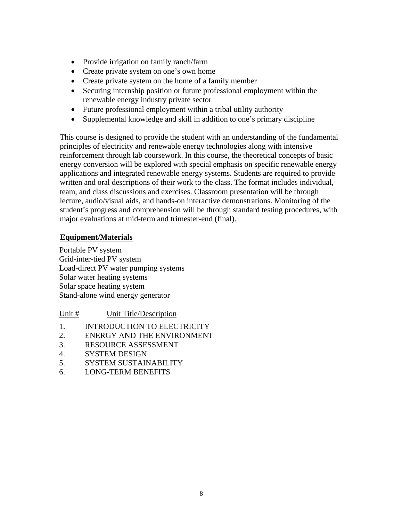- Provide irrigation on family ranch/farm
- Create private system on one's own home
- Create private system on the home of a family member
- Securing internship position or future professional employment within the renewable energy industry private sector
- Future professional employment within a tribal utility authority
- Supplemental knowledge and skill in addition to one's primary discipline

This course is designed to provide the student with an understanding of the fundamental principles of electricity and renewable energy technologies along with intensive reinforcement through lab coursework. In this course, the theoretical concepts of basic energy conversion will be explored with special emphasis on specific renewable energy applications and integrated renewable energy systems. Students are required to provide written and oral descriptions of their work to the class. The format includes individual, team, and class discussions and exercises. Classroom presentation will be through lecture, audio/visual aids, and hands-on interactive demonstrations. Monitoring of the student's progress and comprehension will be through standard testing procedures, with major evaluations at mid-term and trimester-end (final).

## **Equipment/Materials**

Portable PV system Grid-inter-tied PV system Load-direct PV water pumping systems Solar water heating systems Solar space heating system Stand-alone wind energy generator

## Unit # Unit Title/Description

- 1. INTRODUCTION TO ELECTRICITY
- 2. ENERGY AND THE ENVIRONMENT
- 3. RESOURCE ASSESSMENT
- 4. SYSTEM DESIGN
- 5. SYSTEM SUSTAINABILITY
- 6. LONG-TERM BENEFITS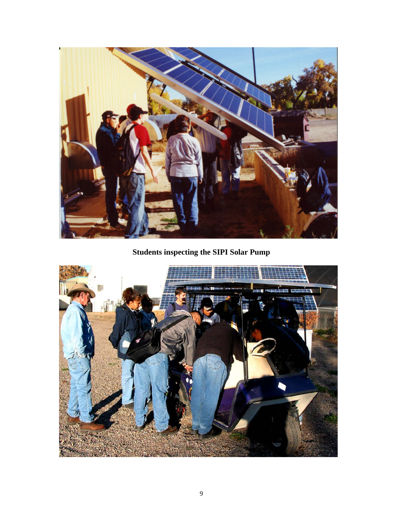

**Students inspecting the SIPI Solar Pump** 

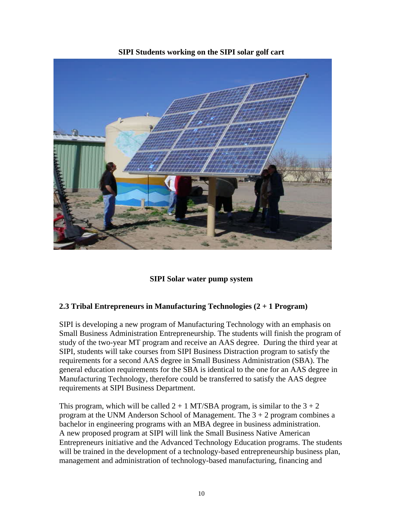



#### **SIPI Solar water pump system**

## **2.3 Tribal Entrepreneurs in Manufacturing Technologies (2 + 1 Program)**

SIPI is developing a new program of Manufacturing Technology with an emphasis on Small Business Administration Entrepreneurship. The students will finish the program of study of the two-year MT program and receive an AAS degree. During the third year at SIPI, students will take courses from SIPI Business Distraction program to satisfy the requirements for a second AAS degree in Small Business Administration (SBA). The general education requirements for the SBA is identical to the one for an AAS degree in Manufacturing Technology, therefore could be transferred to satisfy the AAS degree requirements at SIPI Business Department.

This program, which will be called  $2 + 1$  MT/SBA program, is similar to the  $3 + 2$ program at the UNM Anderson School of Management. The  $3 + 2$  program combines a bachelor in engineering programs with an MBA degree in business administration. A new proposed program at SIPI will link the Small Business Native American Entrepreneurs initiative and the Advanced Technology Education programs. The students will be trained in the development of a technology-based entrepreneurship business plan, management and administration of technology-based manufacturing, financing and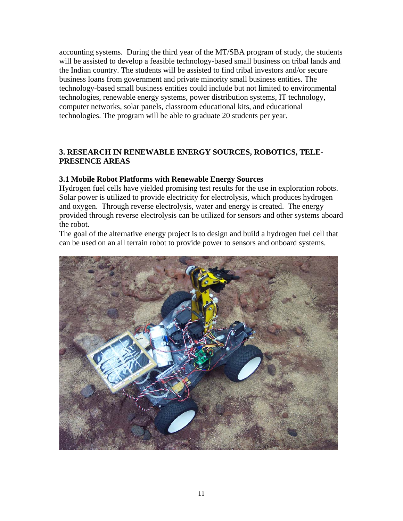accounting systems. During the third year of the MT/SBA program of study, the students will be assisted to develop a feasible technology-based small business on tribal lands and the Indian country. The students will be assisted to find tribal investors and/or secure business loans from government and private minority small business entities. The technology-based small business entities could include but not limited to environmental technologies, renewable energy systems, power distribution systems, IT technology, computer networks, solar panels, classroom educational kits, and educational technologies. The program will be able to graduate 20 students per year.

## **3. RESEARCH IN RENEWABLE ENERGY SOURCES, ROBOTICS, TELE-PRESENCE AREAS**

## **3.1 Mobile Robot Platforms with Renewable Energy Sources**

Hydrogen fuel cells have yielded promising test results for the use in exploration robots. Solar power is utilized to provide electricity for electrolysis, which produces hydrogen and oxygen. Through reverse electrolysis, water and energy is created. The energy provided through reverse electrolysis can be utilized for sensors and other systems aboard the robot.

The goal of the alternative energy project is to design and build a hydrogen fuel cell that can be used on an all terrain robot to provide power to sensors and onboard systems.

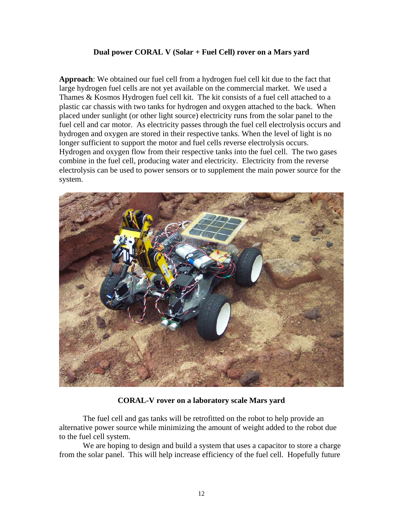#### **Dual power CORAL V (Solar + Fuel Cell) rover on a Mars yard**

**Approach**: We obtained our fuel cell from a hydrogen fuel cell kit due to the fact that large hydrogen fuel cells are not yet available on the commercial market. We used a Thames & Kosmos Hydrogen fuel cell kit. The kit consists of a fuel cell attached to a plastic car chassis with two tanks for hydrogen and oxygen attached to the back. When placed under sunlight (or other light source) electricity runs from the solar panel to the fuel cell and car motor. As electricity passes through the fuel cell electrolysis occurs and hydrogen and oxygen are stored in their respective tanks. When the level of light is no longer sufficient to support the motor and fuel cells reverse electrolysis occurs. Hydrogen and oxygen flow from their respective tanks into the fuel cell. The two gases combine in the fuel cell, producing water and electricity. Electricity from the reverse electrolysis can be used to power sensors or to supplement the main power source for the system.



#### **CORAL-V rover on a laboratory scale Mars yard**

 The fuel cell and gas tanks will be retrofitted on the robot to help provide an alternative power source while minimizing the amount of weight added to the robot due to the fuel cell system.

We are hoping to design and build a system that uses a capacitor to store a charge from the solar panel. This will help increase efficiency of the fuel cell. Hopefully future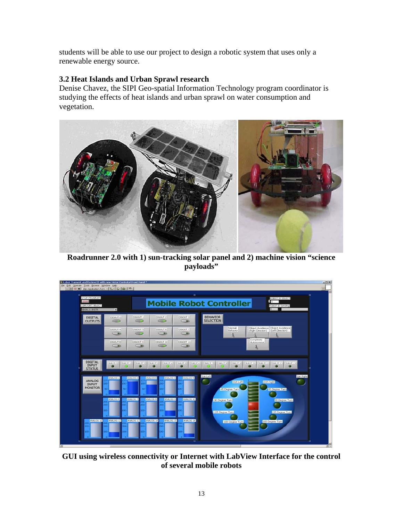students will be able to use our project to design a robotic system that uses only a renewable energy source.

## **3.2 Heat Islands and Urban Sprawl research**

Denise Chavez, the SIPI Geo-spatial Information Technology program coordinator is studying the effects of heat islands and urban sprawl on water consumption and vegetation.



**Roadrunner 2.0 with 1) sun-tracking solar panel and 2) machine vision "science payloads"** 



**GUI using wireless connectivity or Internet with LabView Interface for the control of several mobile robots**